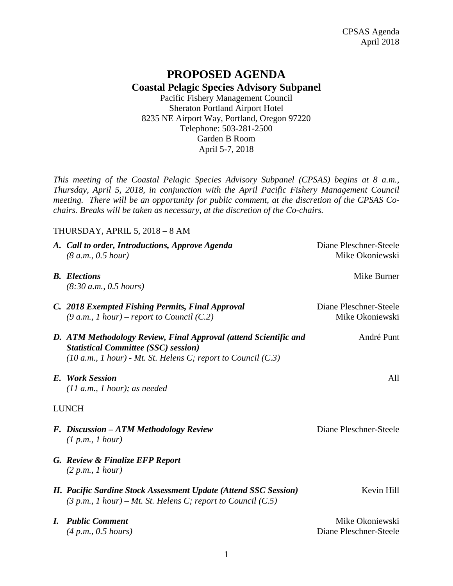## **PROPOSED AGENDA Coastal Pelagic Species Advisory Subpanel**

Pacific Fishery Management Council Sheraton Portland Airport Hotel 8235 NE Airport Way, Portland, Oregon 97220 Telephone: 503-281-2500 Garden B Room April 5-7, 2018

*This meeting of the Coastal Pelagic Species Advisory Subpanel (CPSAS) begins at 8 a.m., Thursday, April 5, 2018, in conjunction with the April Pacific Fishery Management Council meeting. There will be an opportunity for public comment, at the discretion of the CPSAS Cochairs. Breaks will be taken as necessary, at the discretion of the Co-chairs.*

## THURSDAY, APRIL 5, 2018 – 8 AM

|              | A. Call to order, Introductions, Approve Agenda<br>(8 a.m., 0.5 hour)                                                                                                                | Diane Pleschner-Steele<br>Mike Okoniewski |  |
|--------------|--------------------------------------------------------------------------------------------------------------------------------------------------------------------------------------|-------------------------------------------|--|
|              | <b>B.</b> Elections<br>(8:30 a.m., 0.5 hours)                                                                                                                                        | Mike Burner                               |  |
|              | C. 2018 Exempted Fishing Permits, Final Approval<br>$(9 a.m., 1 hour)$ – report to Council $(C.2)$                                                                                   | Diane Pleschner-Steele<br>Mike Okoniewski |  |
|              | D. ATM Methodology Review, Final Approval (attend Scientific and<br><b>Statistical Committee (SSC) session)</b><br>$(10 a.m., 1 hour)$ - Mt. St. Helens C; report to Council $(C.3)$ | André Punt                                |  |
|              | E. Work Session<br>$(11 a.m., 1 hour);$ as needed                                                                                                                                    | All                                       |  |
| <b>LUNCH</b> |                                                                                                                                                                                      |                                           |  |
|              | F. Discussion – ATM Methodology Review<br>(1 p.m., 1 hour)                                                                                                                           | Diane Pleschner-Steele                    |  |
|              | G. Review & Finalize EFP Report<br>(2 p.m., I hour)                                                                                                                                  |                                           |  |
|              | H. Pacific Sardine Stock Assessment Update (Attend SSC Session)<br>$(3 p.m., 1 hour) - Mt.$ St. Helens C; report to Council $(C.5)$                                                  | Kevin Hill                                |  |
|              | <b>I.</b> Public Comment<br>(4 p.m., 0.5 hours)                                                                                                                                      | Mike Okoniewski<br>Diane Pleschner-Steele |  |